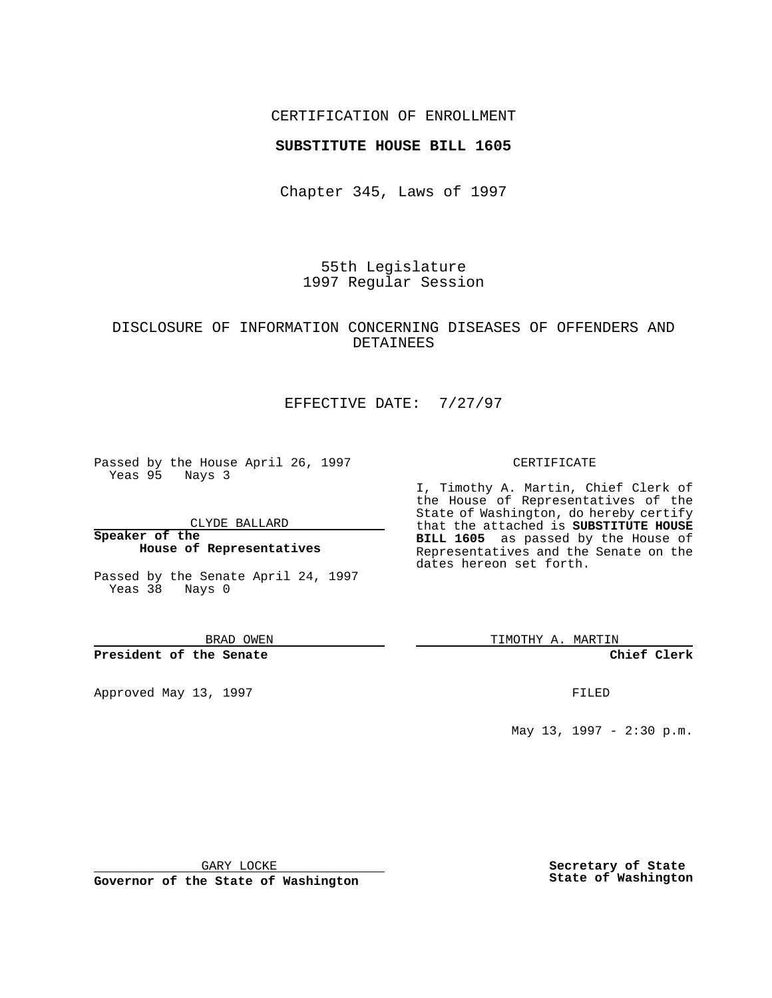## CERTIFICATION OF ENROLLMENT

### **SUBSTITUTE HOUSE BILL 1605**

Chapter 345, Laws of 1997

55th Legislature 1997 Regular Session

# DISCLOSURE OF INFORMATION CONCERNING DISEASES OF OFFENDERS AND DETAINEES

# EFFECTIVE DATE: 7/27/97

Passed by the House April 26, 1997 Yeas 95 Nays 3

CLYDE BALLARD

**Speaker of the House of Representatives**

Passed by the Senate April 24, 1997 Yeas 38 Nays 0

BRAD OWEN

### **President of the Senate**

Approved May 13, 1997 **FILED** 

#### CERTIFICATE

I, Timothy A. Martin, Chief Clerk of the House of Representatives of the State of Washington, do hereby certify that the attached is **SUBSTITUTE HOUSE BILL 1605** as passed by the House of Representatives and the Senate on the dates hereon set forth.

TIMOTHY A. MARTIN

#### **Chief Clerk**

May 13, 1997 - 2:30 p.m.

GARY LOCKE

**Governor of the State of Washington**

**Secretary of State State of Washington**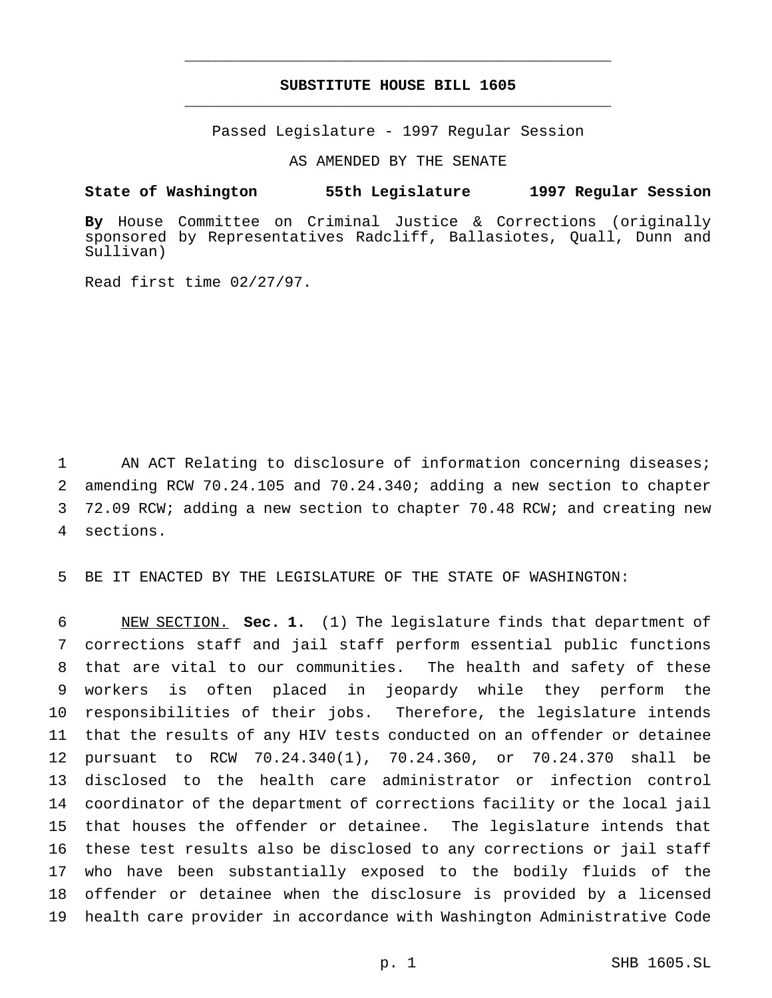# **SUBSTITUTE HOUSE BILL 1605** \_\_\_\_\_\_\_\_\_\_\_\_\_\_\_\_\_\_\_\_\_\_\_\_\_\_\_\_\_\_\_\_\_\_\_\_\_\_\_\_\_\_\_\_\_\_\_

\_\_\_\_\_\_\_\_\_\_\_\_\_\_\_\_\_\_\_\_\_\_\_\_\_\_\_\_\_\_\_\_\_\_\_\_\_\_\_\_\_\_\_\_\_\_\_

Passed Legislature - 1997 Regular Session

AS AMENDED BY THE SENATE

**State of Washington 55th Legislature 1997 Regular Session**

**By** House Committee on Criminal Justice & Corrections (originally sponsored by Representatives Radcliff, Ballasiotes, Quall, Dunn and Sullivan)

Read first time 02/27/97.

1 AN ACT Relating to disclosure of information concerning diseases; amending RCW 70.24.105 and 70.24.340; adding a new section to chapter 72.09 RCW; adding a new section to chapter 70.48 RCW; and creating new sections.

5 BE IT ENACTED BY THE LEGISLATURE OF THE STATE OF WASHINGTON:

 NEW SECTION. **Sec. 1.** (1) The legislature finds that department of corrections staff and jail staff perform essential public functions that are vital to our communities. The health and safety of these workers is often placed in jeopardy while they perform the responsibilities of their jobs. Therefore, the legislature intends that the results of any HIV tests conducted on an offender or detainee pursuant to RCW 70.24.340(1), 70.24.360, or 70.24.370 shall be disclosed to the health care administrator or infection control coordinator of the department of corrections facility or the local jail that houses the offender or detainee. The legislature intends that these test results also be disclosed to any corrections or jail staff who have been substantially exposed to the bodily fluids of the offender or detainee when the disclosure is provided by a licensed health care provider in accordance with Washington Administrative Code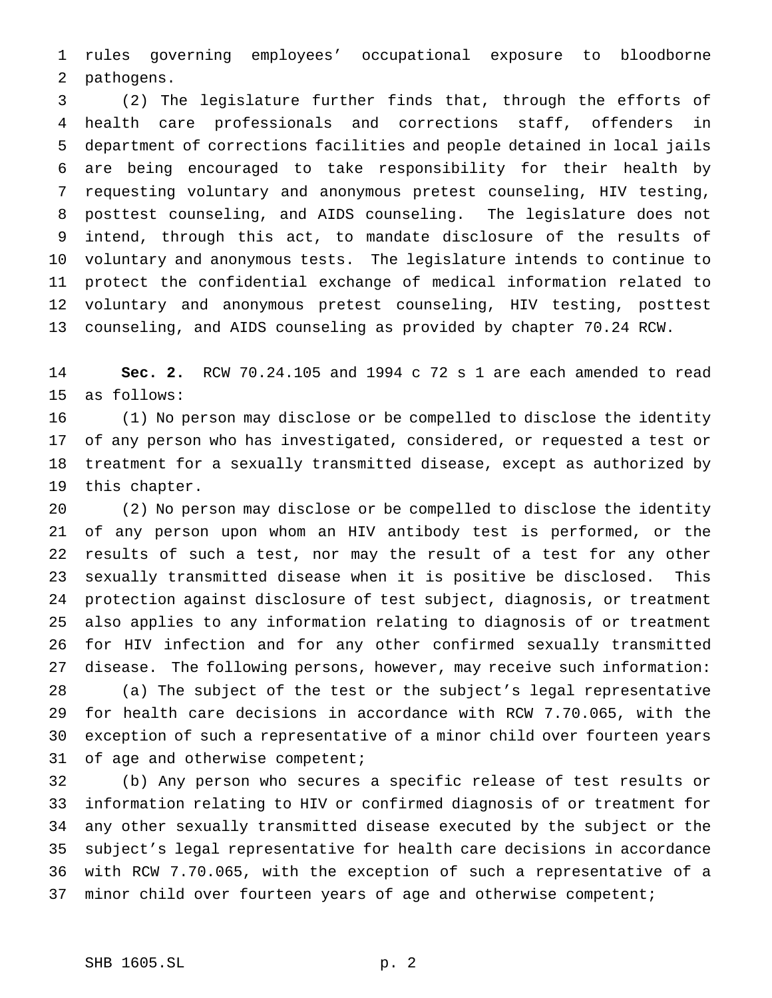rules governing employees' occupational exposure to bloodborne pathogens.

 (2) The legislature further finds that, through the efforts of health care professionals and corrections staff, offenders in department of corrections facilities and people detained in local jails are being encouraged to take responsibility for their health by requesting voluntary and anonymous pretest counseling, HIV testing, posttest counseling, and AIDS counseling. The legislature does not intend, through this act, to mandate disclosure of the results of voluntary and anonymous tests. The legislature intends to continue to protect the confidential exchange of medical information related to voluntary and anonymous pretest counseling, HIV testing, posttest counseling, and AIDS counseling as provided by chapter 70.24 RCW.

 **Sec. 2.** RCW 70.24.105 and 1994 c 72 s 1 are each amended to read as follows:

 (1) No person may disclose or be compelled to disclose the identity of any person who has investigated, considered, or requested a test or treatment for a sexually transmitted disease, except as authorized by this chapter.

 (2) No person may disclose or be compelled to disclose the identity of any person upon whom an HIV antibody test is performed, or the results of such a test, nor may the result of a test for any other sexually transmitted disease when it is positive be disclosed. This protection against disclosure of test subject, diagnosis, or treatment also applies to any information relating to diagnosis of or treatment for HIV infection and for any other confirmed sexually transmitted disease. The following persons, however, may receive such information: (a) The subject of the test or the subject's legal representative for health care decisions in accordance with RCW 7.70.065, with the exception of such a representative of a minor child over fourteen years 31 of age and otherwise competent;

 (b) Any person who secures a specific release of test results or information relating to HIV or confirmed diagnosis of or treatment for any other sexually transmitted disease executed by the subject or the subject's legal representative for health care decisions in accordance with RCW 7.70.065, with the exception of such a representative of a 37 minor child over fourteen years of age and otherwise competent;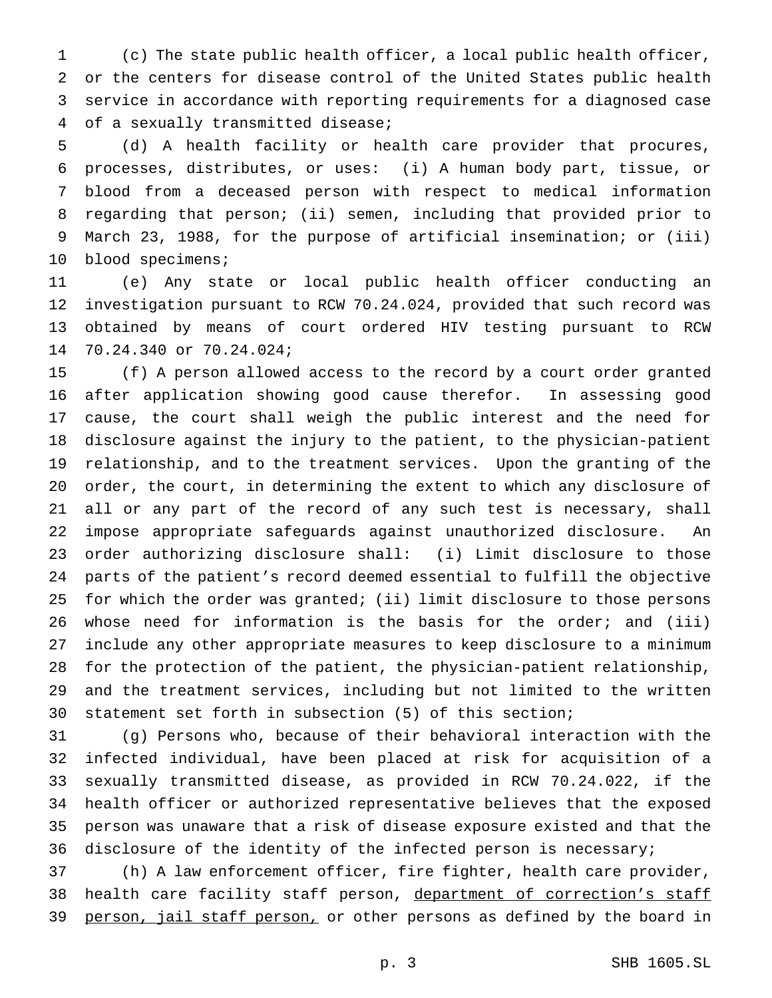(c) The state public health officer, a local public health officer, or the centers for disease control of the United States public health service in accordance with reporting requirements for a diagnosed case of a sexually transmitted disease;

 (d) A health facility or health care provider that procures, processes, distributes, or uses: (i) A human body part, tissue, or blood from a deceased person with respect to medical information regarding that person; (ii) semen, including that provided prior to March 23, 1988, for the purpose of artificial insemination; or (iii) 10 blood specimens;

 (e) Any state or local public health officer conducting an investigation pursuant to RCW 70.24.024, provided that such record was obtained by means of court ordered HIV testing pursuant to RCW 70.24.340 or 70.24.024;

 (f) A person allowed access to the record by a court order granted after application showing good cause therefor. In assessing good cause, the court shall weigh the public interest and the need for disclosure against the injury to the patient, to the physician-patient relationship, and to the treatment services. Upon the granting of the order, the court, in determining the extent to which any disclosure of all or any part of the record of any such test is necessary, shall impose appropriate safeguards against unauthorized disclosure. An order authorizing disclosure shall: (i) Limit disclosure to those parts of the patient's record deemed essential to fulfill the objective for which the order was granted; (ii) limit disclosure to those persons whose need for information is the basis for the order; and (iii) include any other appropriate measures to keep disclosure to a minimum for the protection of the patient, the physician-patient relationship, and the treatment services, including but not limited to the written statement set forth in subsection (5) of this section;

 (g) Persons who, because of their behavioral interaction with the infected individual, have been placed at risk for acquisition of a sexually transmitted disease, as provided in RCW 70.24.022, if the health officer or authorized representative believes that the exposed person was unaware that a risk of disease exposure existed and that the disclosure of the identity of the infected person is necessary;

 (h) A law enforcement officer, fire fighter, health care provider, 38 health care facility staff person, department of correction's staff 39 person, jail staff person, or other persons as defined by the board in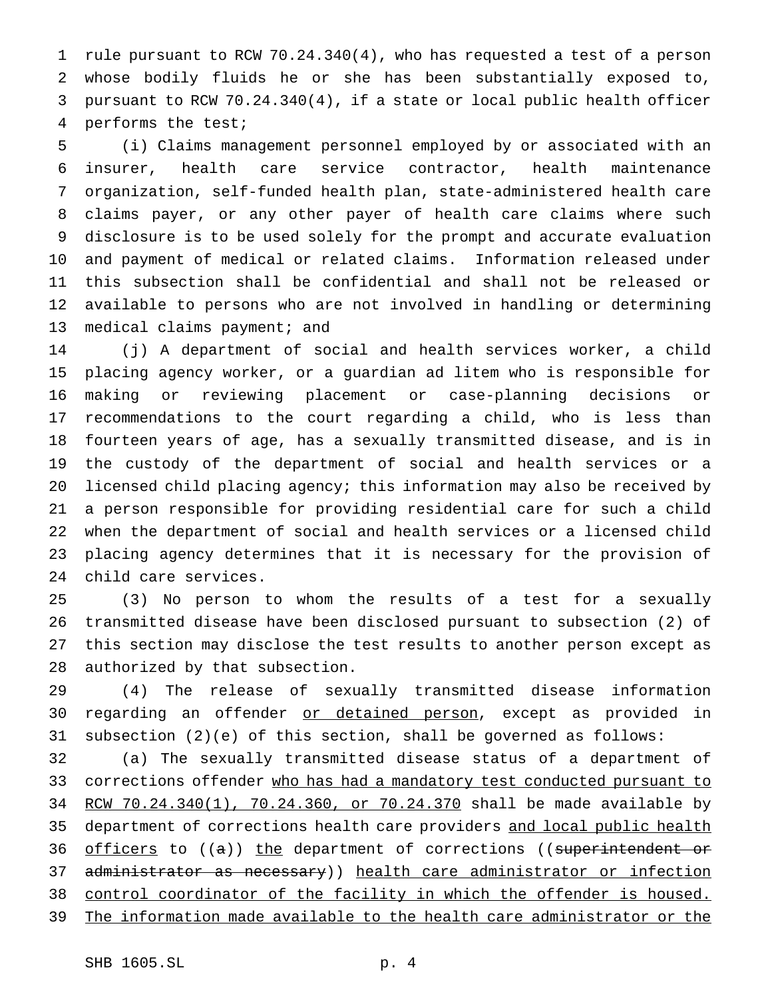rule pursuant to RCW 70.24.340(4), who has requested a test of a person whose bodily fluids he or she has been substantially exposed to, pursuant to RCW 70.24.340(4), if a state or local public health officer performs the test;

 (i) Claims management personnel employed by or associated with an insurer, health care service contractor, health maintenance organization, self-funded health plan, state-administered health care claims payer, or any other payer of health care claims where such disclosure is to be used solely for the prompt and accurate evaluation and payment of medical or related claims. Information released under this subsection shall be confidential and shall not be released or available to persons who are not involved in handling or determining 13 medical claims payment; and

 (j) A department of social and health services worker, a child placing agency worker, or a guardian ad litem who is responsible for making or reviewing placement or case-planning decisions or recommendations to the court regarding a child, who is less than fourteen years of age, has a sexually transmitted disease, and is in the custody of the department of social and health services or a licensed child placing agency; this information may also be received by a person responsible for providing residential care for such a child when the department of social and health services or a licensed child placing agency determines that it is necessary for the provision of child care services.

 (3) No person to whom the results of a test for a sexually transmitted disease have been disclosed pursuant to subsection (2) of this section may disclose the test results to another person except as authorized by that subsection.

 (4) The release of sexually transmitted disease information 30 regarding an offender or detained person, except as provided in subsection (2)(e) of this section, shall be governed as follows:

 (a) The sexually transmitted disease status of a department of 33 corrections offender who has had a mandatory test conducted pursuant to 34 RCW 70.24.340(1), 70.24.360, or 70.24.370 shall be made available by 35 department of corrections health care providers and local public health 36 officers to ((a)) the department of corrections ((superintendent or 37 administrator as necessary)) health care administrator or infection control coordinator of the facility in which the offender is housed. 39 The information made available to the health care administrator or the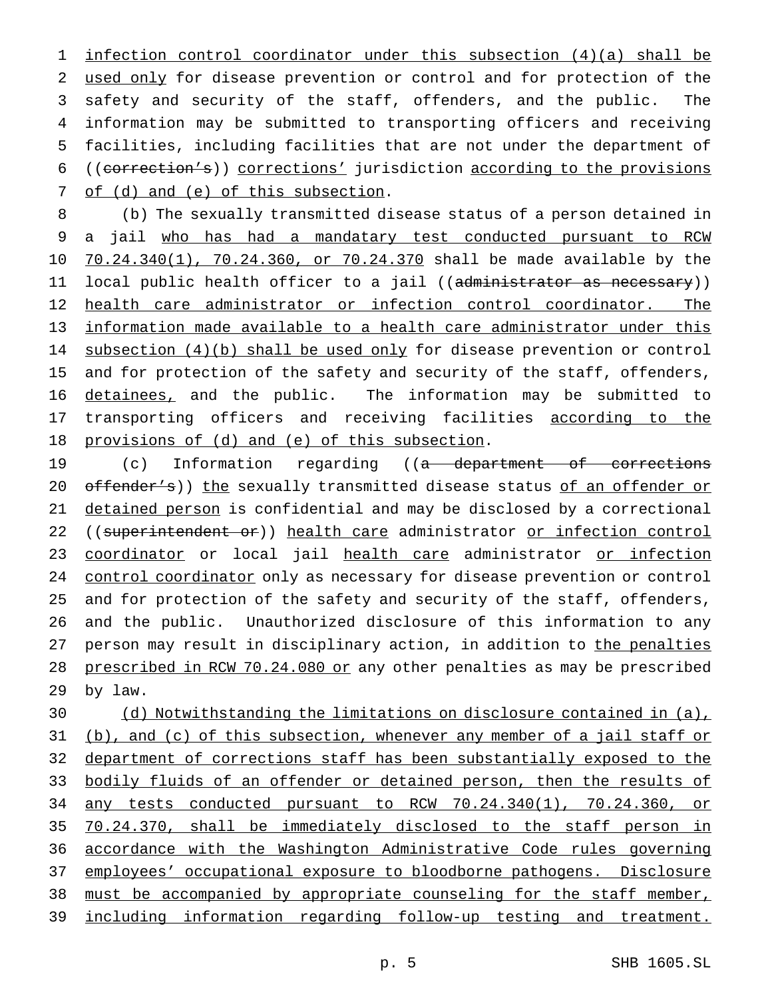infection control coordinator under this subsection (4)(a) shall be used only for disease prevention or control and for protection of the safety and security of the staff, offenders, and the public. The information may be submitted to transporting officers and receiving facilities, including facilities that are not under the department of ((correction's)) corrections' jurisdiction according to the provisions 7 of (d) and (e) of this subsection.

8 (b) The sexually transmitted disease status of a person detained in 9 a jail who has had a mandatary test conducted pursuant to RCW 10 70.24.340(1), 70.24.360, or 70.24.370 shall be made available by the 11 local public health officer to a jail ((<del>administrator as necessary</del>)) 12 health care administrator or infection control coordinator. The 13 information made available to a health care administrator under this 14 subsection (4)(b) shall be used only for disease prevention or control 15 and for protection of the safety and security of the staff, offenders, 16 detainees, and the public. The information may be submitted to 17 transporting officers and receiving facilities according to the 18 provisions of (d) and (e) of this subsection.

19 (c) Information regarding ((a department of corrections 20 offender's)) the sexually transmitted disease status of an offender or 21 detained person is confidential and may be disclosed by a correctional 22 ((superintendent or)) health care administrator or infection control 23 coordinator or local jail health care administrator or infection 24 control coordinator only as necessary for disease prevention or control 25 and for protection of the safety and security of the staff, offenders, 26 and the public. Unauthorized disclosure of this information to any 27 person may result in disciplinary action, in addition to the penalties 28 prescribed in RCW 70.24.080 or any other penalties as may be prescribed 29 by law.

 (d) Notwithstanding the limitations on disclosure contained in (a), 31 (b), and (c) of this subsection, whenever any member of a jail staff or department of corrections staff has been substantially exposed to the 33 bodily fluids of an offender or detained person, then the results of any tests conducted pursuant to RCW 70.24.340(1), 70.24.360, or 70.24.370, shall be immediately disclosed to the staff person in accordance with the Washington Administrative Code rules governing employees' occupational exposure to bloodborne pathogens. Disclosure must be accompanied by appropriate counseling for the staff member, including information regarding follow-up testing and treatment.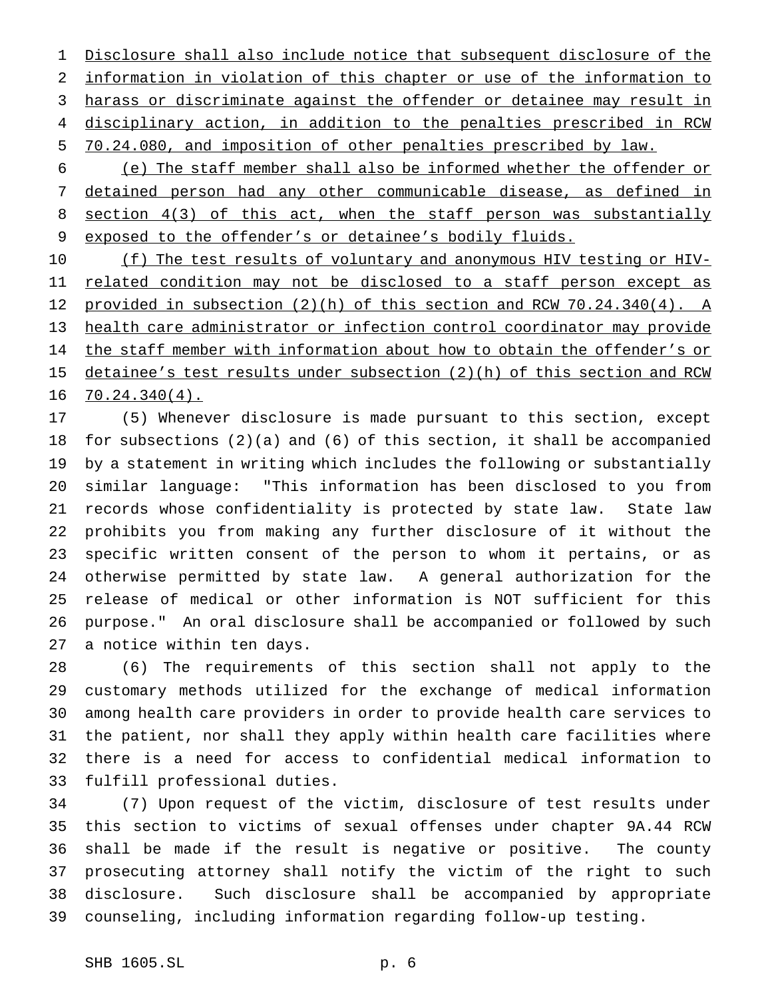Disclosure shall also include notice that subsequent disclosure of the information in violation of this chapter or use of the information to harass or discriminate against the offender or detainee may result in disciplinary action, in addition to the penalties prescribed in RCW 70.24.080, and imposition of other penalties prescribed by law.

 (e) The staff member shall also be informed whether the offender or detained person had any other communicable disease, as defined in 8 section 4(3) of this act, when the staff person was substantially exposed to the offender's or detainee's bodily fluids.

10 (f) The test results of voluntary and anonymous HIV testing or HIV-11 related condition may not be disclosed to a staff person except as provided in subsection (2)(h) of this section and RCW 70.24.340(4). A health care administrator or infection control coordinator may provide 14 the staff member with information about how to obtain the offender's or 15 detainee's test results under subsection (2)(h) of this section and RCW 70.24.340(4).

 (5) Whenever disclosure is made pursuant to this section, except for subsections (2)(a) and (6) of this section, it shall be accompanied by a statement in writing which includes the following or substantially similar language: "This information has been disclosed to you from records whose confidentiality is protected by state law. State law prohibits you from making any further disclosure of it without the specific written consent of the person to whom it pertains, or as otherwise permitted by state law. A general authorization for the release of medical or other information is NOT sufficient for this purpose." An oral disclosure shall be accompanied or followed by such a notice within ten days.

 (6) The requirements of this section shall not apply to the customary methods utilized for the exchange of medical information among health care providers in order to provide health care services to the patient, nor shall they apply within health care facilities where there is a need for access to confidential medical information to fulfill professional duties.

 (7) Upon request of the victim, disclosure of test results under this section to victims of sexual offenses under chapter 9A.44 RCW shall be made if the result is negative or positive. The county prosecuting attorney shall notify the victim of the right to such disclosure. Such disclosure shall be accompanied by appropriate counseling, including information regarding follow-up testing.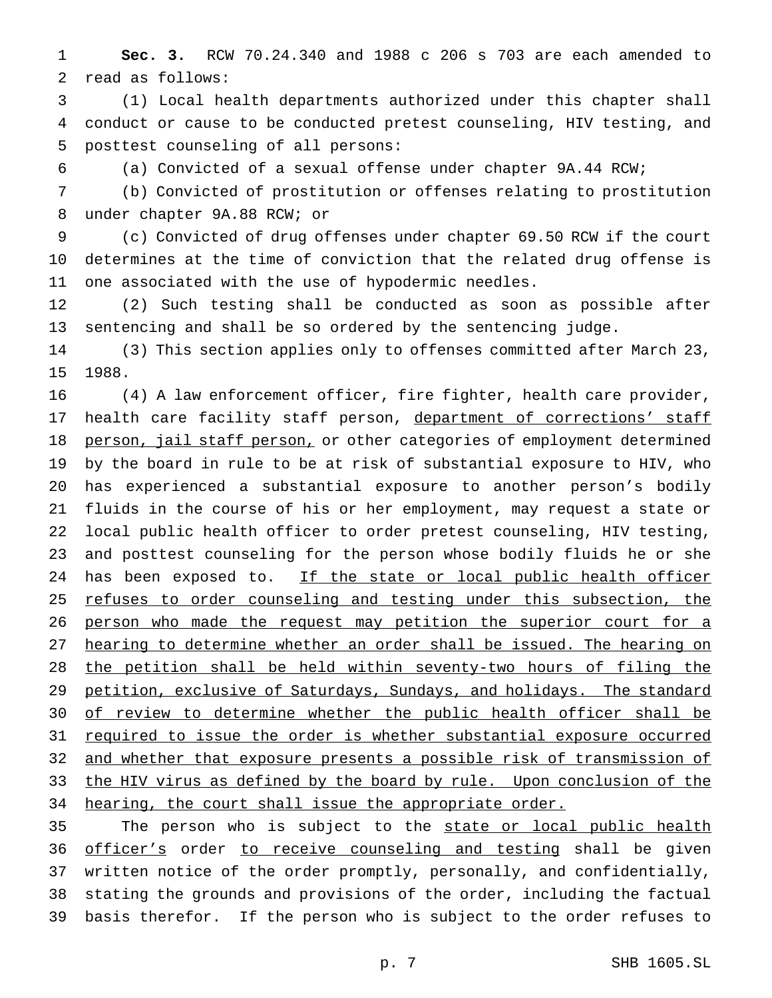**Sec. 3.** RCW 70.24.340 and 1988 c 206 s 703 are each amended to read as follows:

 (1) Local health departments authorized under this chapter shall conduct or cause to be conducted pretest counseling, HIV testing, and posttest counseling of all persons:

(a) Convicted of a sexual offense under chapter 9A.44 RCW;

 (b) Convicted of prostitution or offenses relating to prostitution under chapter 9A.88 RCW; or

 (c) Convicted of drug offenses under chapter 69.50 RCW if the court determines at the time of conviction that the related drug offense is one associated with the use of hypodermic needles.

 (2) Such testing shall be conducted as soon as possible after sentencing and shall be so ordered by the sentencing judge.

 (3) This section applies only to offenses committed after March 23, 1988.

 (4) A law enforcement officer, fire fighter, health care provider, 17 health care facility staff person, department of corrections' staff 18 person, jail staff person, or other categories of employment determined by the board in rule to be at risk of substantial exposure to HIV, who has experienced a substantial exposure to another person's bodily fluids in the course of his or her employment, may request a state or local public health officer to order pretest counseling, HIV testing, and posttest counseling for the person whose bodily fluids he or she 24 has been exposed to. If the state or local public health officer 25 refuses to order counseling and testing under this subsection, the 26 person who made the request may petition the superior court for a hearing to determine whether an order shall be issued. The hearing on the petition shall be held within seventy-two hours of filing the 29 petition, exclusive of Saturdays, Sundays, and holidays. The standard 30 of review to determine whether the public health officer shall be 31 required to issue the order is whether substantial exposure occurred and whether that exposure presents a possible risk of transmission of 33 the HIV virus as defined by the board by rule. Upon conclusion of the 34 hearing, the court shall issue the appropriate order.

35 The person who is subject to the state or local public health 36 officer's order to receive counseling and testing shall be given written notice of the order promptly, personally, and confidentially, stating the grounds and provisions of the order, including the factual basis therefor. If the person who is subject to the order refuses to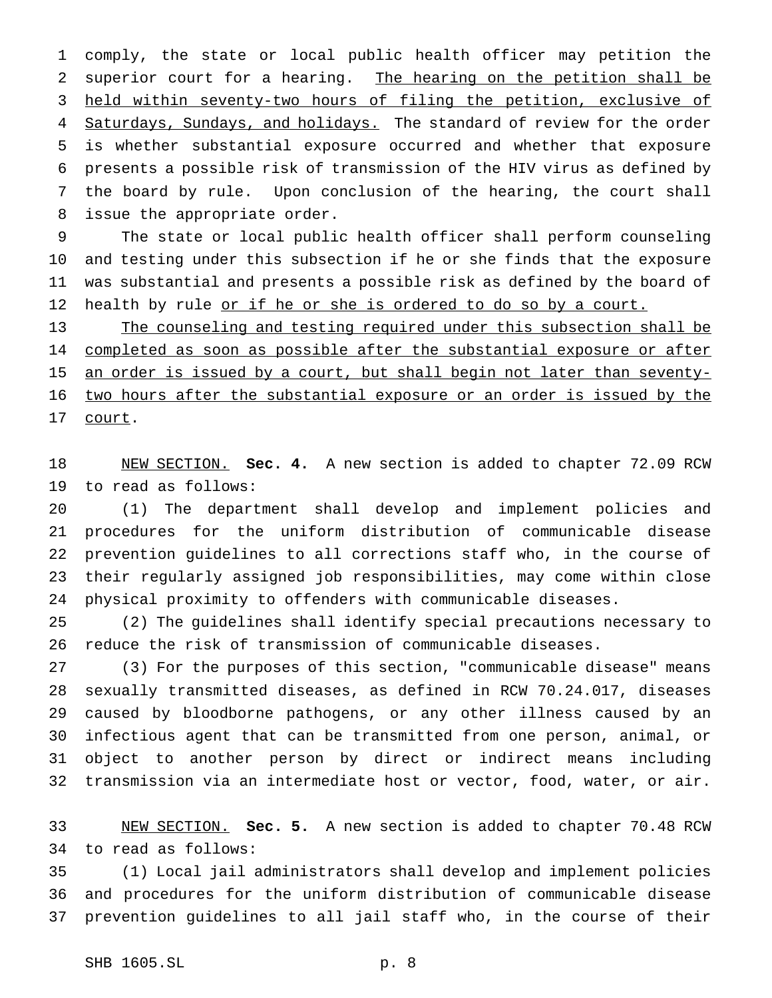comply, the state or local public health officer may petition the superior court for a hearing. The hearing on the petition shall be held within seventy-two hours of filing the petition, exclusive of 4 Saturdays, Sundays, and holidays. The standard of review for the order is whether substantial exposure occurred and whether that exposure presents a possible risk of transmission of the HIV virus as defined by the board by rule. Upon conclusion of the hearing, the court shall issue the appropriate order.

 The state or local public health officer shall perform counseling and testing under this subsection if he or she finds that the exposure was substantial and presents a possible risk as defined by the board of 12 health by rule or if he or she is ordered to do so by a court.

 The counseling and testing required under this subsection shall be 14 completed as soon as possible after the substantial exposure or after 15 an order is issued by a court, but shall begin not later than seventy- two hours after the substantial exposure or an order is issued by the 17 court.

 NEW SECTION. **Sec. 4.** A new section is added to chapter 72.09 RCW to read as follows:

 (1) The department shall develop and implement policies and procedures for the uniform distribution of communicable disease prevention guidelines to all corrections staff who, in the course of their regularly assigned job responsibilities, may come within close physical proximity to offenders with communicable diseases.

 (2) The guidelines shall identify special precautions necessary to reduce the risk of transmission of communicable diseases.

 (3) For the purposes of this section, "communicable disease" means sexually transmitted diseases, as defined in RCW 70.24.017, diseases caused by bloodborne pathogens, or any other illness caused by an infectious agent that can be transmitted from one person, animal, or object to another person by direct or indirect means including transmission via an intermediate host or vector, food, water, or air.

 NEW SECTION. **Sec. 5.** A new section is added to chapter 70.48 RCW to read as follows:

 (1) Local jail administrators shall develop and implement policies and procedures for the uniform distribution of communicable disease prevention guidelines to all jail staff who, in the course of their